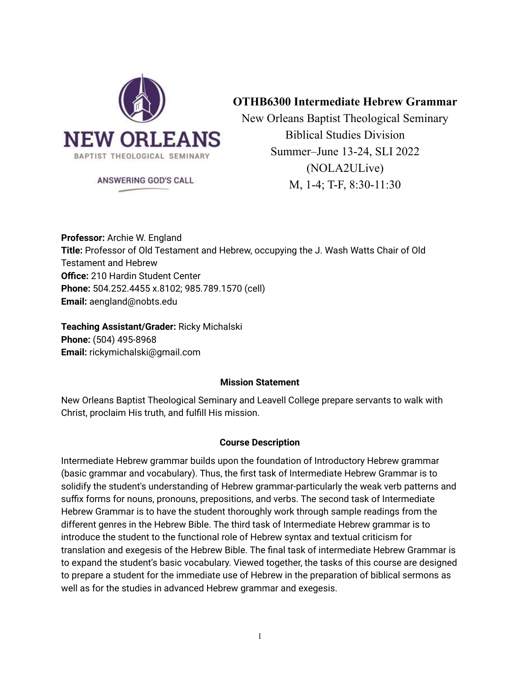

# **OTHB6300 Intermediate Hebrew Grammar**

New Orleans Baptist Theological Seminary Biblical Studies Division Summer–June 13-24, SLI 2022 (NOLA2ULive) M, 1-4; T-F, 8:30-11:30

ANSWERING GOD'S CALL

**Professor:** Archie W. England **Title:** Professor of Old Testament and Hebrew, occupying the J. Wash Watts Chair of Old Testament and Hebrew **Office:** 210 Hardin Student Center **Phone:** 504.252.4455 x.8102; 985.789.1570 (cell) **Email:** aengland@nobts.edu

**Teaching Assistant/Grader:** Ricky Michalski **Phone:** (504) 495-8968 **Email:** rickymichalski@gmail.com

### **Mission Statement**

New Orleans Baptist Theological Seminary and Leavell College prepare servants to walk with Christ, proclaim His truth, and fulfill His mission.

## **Course Description**

Intermediate Hebrew grammar builds upon the foundation of Introductory Hebrew grammar (basic grammar and vocabulary). Thus, the first task of Intermediate Hebrew Grammar is to solidify the student's understanding of Hebrew grammar-particularly the weak verb patterns and suffix forms for nouns, pronouns, prepositions, and verbs. The second task of Intermediate Hebrew Grammar is to have the student thoroughly work through sample readings from the different genres in the Hebrew Bible. The third task of Intermediate Hebrew grammar is to introduce the student to the functional role of Hebrew syntax and textual criticism for translation and exegesis of the Hebrew Bible. The final task of intermediate Hebrew Grammar is to expand the student's basic vocabulary. Viewed together, the tasks of this course are designed to prepare a student for the immediate use of Hebrew in the preparation of biblical sermons as well as for the studies in advanced Hebrew grammar and exegesis.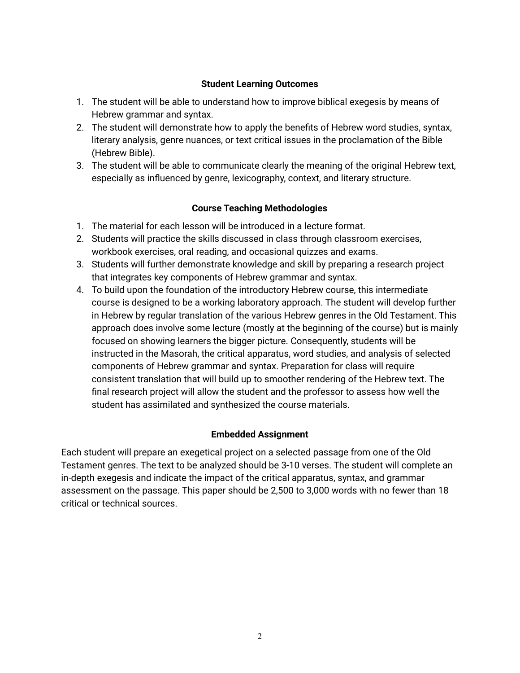#### **Student Learning Outcomes**

- 1. The student will be able to understand how to improve biblical exegesis by means of Hebrew grammar and syntax.
- 2. The student will demonstrate how to apply the benefits of Hebrew word studies, syntax, literary analysis, genre nuances, or text critical issues in the proclamation of the Bible (Hebrew Bible).
- 3. The student will be able to communicate clearly the meaning of the original Hebrew text, especially as influenced by genre, lexicography, context, and literary structure.

### **Course Teaching Methodologies**

- 1. The material for each lesson will be introduced in a lecture format.
- 2. Students will practice the skills discussed in class through classroom exercises, workbook exercises, oral reading, and occasional quizzes and exams.
- 3. Students will further demonstrate knowledge and skill by preparing a research project that integrates key components of Hebrew grammar and syntax.
- 4. To build upon the foundation of the introductory Hebrew course, this intermediate course is designed to be a working laboratory approach. The student will develop further in Hebrew by regular translation of the various Hebrew genres in the Old Testament. This approach does involve some lecture (mostly at the beginning of the course) but is mainly focused on showing learners the bigger picture. Consequently, students will be instructed in the Masorah, the critical apparatus, word studies, and analysis of selected components of Hebrew grammar and syntax. Preparation for class will require consistent translation that will build up to smoother rendering of the Hebrew text. The final research project will allow the student and the professor to assess how well the student has assimilated and synthesized the course materials.

### **Embedded Assignment**

Each student will prepare an exegetical project on a selected passage from one of the Old Testament genres. The text to be analyzed should be 3-10 verses. The student will complete an in-depth exegesis and indicate the impact of the critical apparatus, syntax, and grammar assessment on the passage. This paper should be 2,500 to 3,000 words with no fewer than 18 critical or technical sources.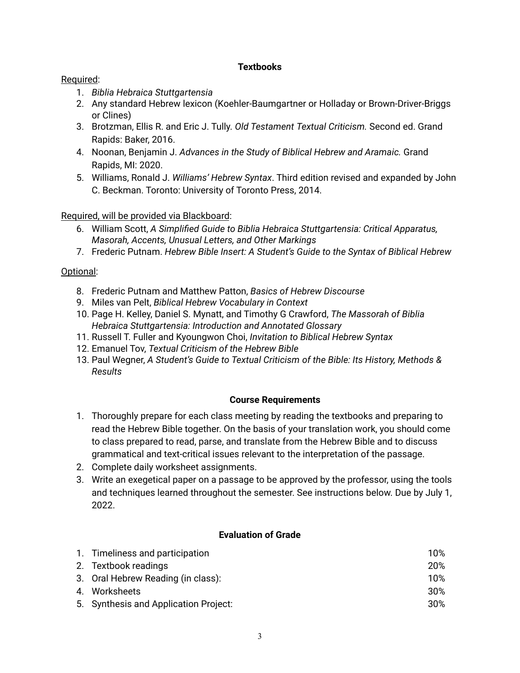#### **Textbooks**

### Required:

- 1. *Biblia Hebraica Stuttgartensia*
- 2. Any standard Hebrew lexicon (Koehler-Baumgartner or Holladay or Brown-Driver-Briggs or Clines)
- 3. Brotzman, Ellis R. and Eric J. Tully. *Old Testament Textual Criticism.* Second ed. Grand Rapids: Baker, 2016.
- 4. Noonan, Benjamin J. *Advances in the Study of Biblical Hebrew and Aramaic.* Grand Rapids, MI: 2020.
- 5. Williams, Ronald J. *Williams' Hebrew Syntax*. Third edition revised and expanded by John C. Beckman. Toronto: University of Toronto Press, 2014.

## Required, will be provided via Blackboard:

- 6. William Scott, *A Simplified Guide to Biblia Hebraica Stuttgartensia: Critical Apparatus, Masorah, Accents, Unusual Letters, and Other Markings*
- 7. Frederic Putnam. *Hebrew Bible Insert: A Student's Guide to the Syntax of Biblical Hebrew*

## Optional:

- 8. Frederic Putnam and Matthew Patton, *Basics of Hebrew Discourse*
- 9. Miles van Pelt, *Biblical Hebrew Vocabulary in Context*
- 10. Page H. Kelley, Daniel S. Mynatt, and Timothy G Crawford, *The Massorah of Biblia Hebraica Stuttgartensia: Introduction and Annotated Glossary*
- 11. Russell T. Fuller and Kyoungwon Choi, *Invitation to Biblical Hebrew Syntax*
- 12. Emanuel Tov, *Textual Criticism of the Hebrew Bible*
- 13. Paul Wegner, *A Student's Guide to Textual Criticism of the Bible: Its History, Methods & Results*

### **Course Requirements**

- 1. Thoroughly prepare for each class meeting by reading the textbooks and preparing to read the Hebrew Bible together. On the basis of your translation work, you should come to class prepared to read, parse, and translate from the Hebrew Bible and to discuss grammatical and text-critical issues relevant to the interpretation of the passage.
- 2. Complete daily worksheet assignments.
- 3. Write an exegetical paper on a passage to be approved by the professor, using the tools and techniques learned throughout the semester. See instructions below. Due by July 1, 2022.

### **Evaluation of Grade**

| 1. Timeliness and participation       | 10%    |
|---------------------------------------|--------|
| 2. Textbook readings                  | 20%    |
| 3. Oral Hebrew Reading (in class):    | 10%    |
| 4. Worksheets                         | $30\%$ |
| 5. Synthesis and Application Project: | $30\%$ |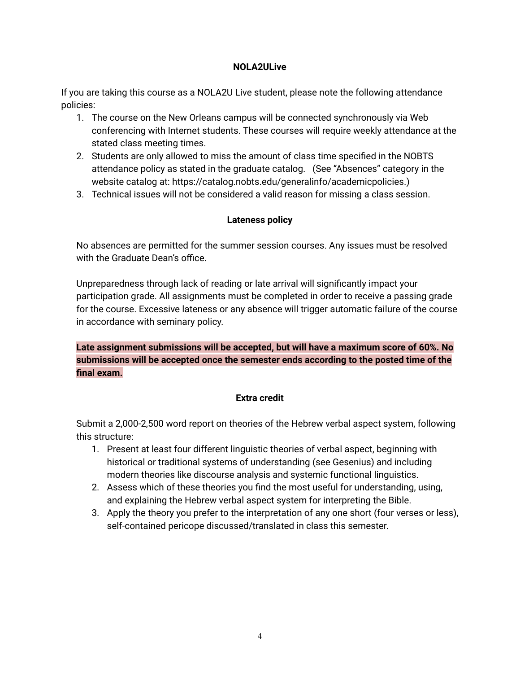#### **NOLA2ULive**

If you are taking this course as a NOLA2U Live student, please note the following attendance policies:

- 1. The course on the New Orleans campus will be connected synchronously via Web conferencing with Internet students. These courses will require weekly attendance at the stated class meeting times.
- 2. Students are only allowed to miss the amount of class time specified in the NOBTS attendance policy as stated in the graduate catalog. (See "Absences" category in the website catalog at: https://catalog.nobts.edu/generalinfo/academicpolicies.)
- 3. Technical issues will not be considered a valid reason for missing a class session.

## **Lateness policy**

No absences are permitted for the summer session courses. Any issues must be resolved with the Graduate Dean's office.

Unpreparedness through lack of reading or late arrival will significantly impact your participation grade. All assignments must be completed in order to receive a passing grade for the course. Excessive lateness or any absence will trigger automatic failure of the course in accordance with seminary policy.

**Late assignment submissions will be accepted, but will have a maximum score of 60%. No submissions will be accepted once the semester ends according to the posted time of the final exam.**

### **Extra credit**

Submit a 2,000-2,500 word report on theories of the Hebrew verbal aspect system, following this structure:

- 1. Present at least four different linguistic theories of verbal aspect, beginning with historical or traditional systems of understanding (see Gesenius) and including modern theories like discourse analysis and systemic functional linguistics.
- 2. Assess which of these theories you find the most useful for understanding, using, and explaining the Hebrew verbal aspect system for interpreting the Bible.
- 3. Apply the theory you prefer to the interpretation of any one short (four verses or less), self-contained pericope discussed/translated in class this semester.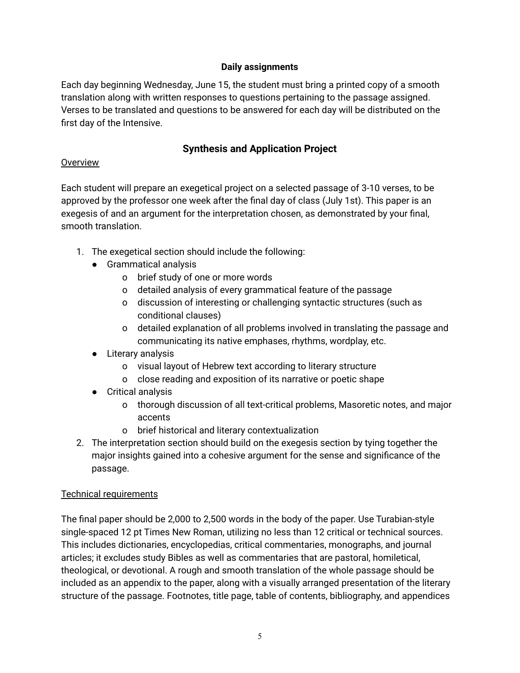### **Daily assignments**

Each day beginning Wednesday, June 15, the student must bring a printed copy of a smooth translation along with written responses to questions pertaining to the passage assigned. Verses to be translated and questions to be answered for each day will be distributed on the first day of the Intensive.

# **Synthesis and Application Project**

### **Overview**

Each student will prepare an exegetical project on a selected passage of 3-10 verses, to be approved by the professor one week after the final day of class (July 1st). This paper is an exegesis of and an argument for the interpretation chosen, as demonstrated by your final, smooth translation.

- 1. The exegetical section should include the following:
	- Grammatical analysis
		- o brief study of one or more words
		- o detailed analysis of every grammatical feature of the passage
		- o discussion of interesting or challenging syntactic structures (such as conditional clauses)
		- o detailed explanation of all problems involved in translating the passage and communicating its native emphases, rhythms, wordplay, etc.
	- Literary analysis
		- o visual layout of Hebrew text according to literary structure
		- o close reading and exposition of its narrative or poetic shape
	- Critical analysis
		- o thorough discussion of all text-critical problems, Masoretic notes, and major accents
		- o brief historical and literary contextualization
- 2. The interpretation section should build on the exegesis section by tying together the major insights gained into a cohesive argument for the sense and significance of the passage.

## Technical requirements

The final paper should be 2,000 to 2,500 words in the body of the paper. Use Turabian-style single-spaced 12 pt Times New Roman, utilizing no less than 12 critical or technical sources. This includes dictionaries, encyclopedias, critical commentaries, monographs, and journal articles; it excludes study Bibles as well as commentaries that are pastoral, homiletical, theological, or devotional. A rough and smooth translation of the whole passage should be included as an appendix to the paper, along with a visually arranged presentation of the literary structure of the passage. Footnotes, title page, table of contents, bibliography, and appendices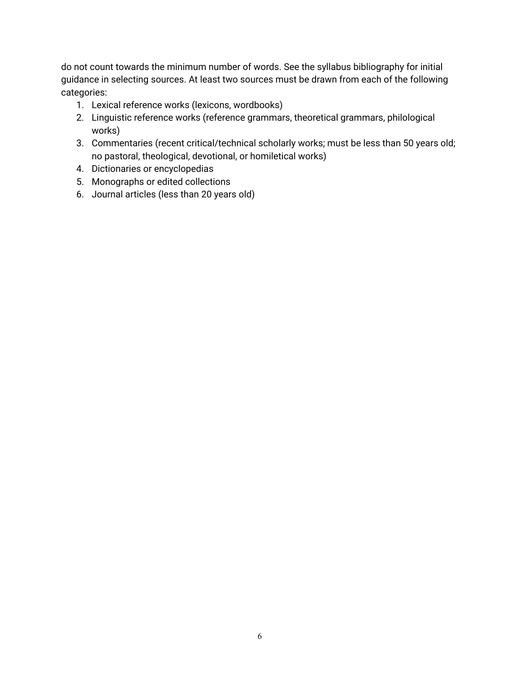do not count towards the minimum number of words. See the syllabus bibliography for initial guidance in selecting sources. At least two sources must be drawn from each of the following categories:

- 1. Lexical reference works (lexicons, wordbooks)
- 2. Linguistic reference works (reference grammars, theoretical grammars, philological works)
- 3. Commentaries (recent critical/technical scholarly works; must be less than 50 years old; no pastoral, theological, devotional, or homiletical works)
- 4. Dictionaries or encyclopedias
- 5. Monographs or edited collections
- 6. Journal articles (less than 20 years old)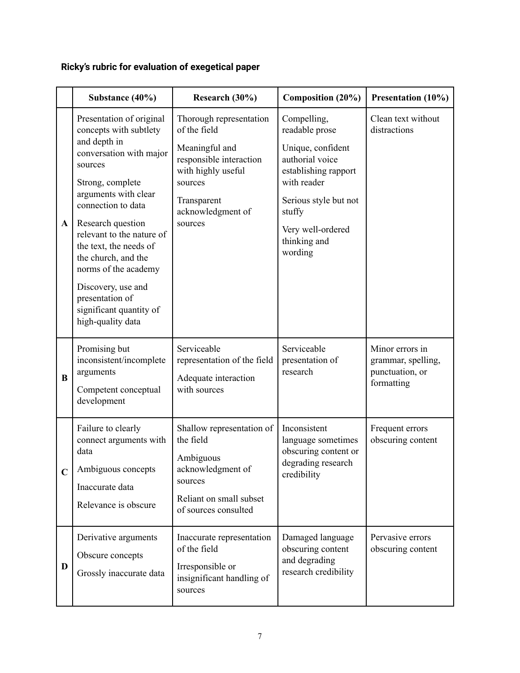# **Ricky's rubric for evaluation of exegetical paper**

|              | Substance (40%)                                                                                                                                                                                                                                                                                                                                                                                | Research (30%)                                                                                                                                                       | Composition (20%)                                                                                                                                                                               | Presentation (10%)                                                     |
|--------------|------------------------------------------------------------------------------------------------------------------------------------------------------------------------------------------------------------------------------------------------------------------------------------------------------------------------------------------------------------------------------------------------|----------------------------------------------------------------------------------------------------------------------------------------------------------------------|-------------------------------------------------------------------------------------------------------------------------------------------------------------------------------------------------|------------------------------------------------------------------------|
| $\mathbf{A}$ | Presentation of original<br>concepts with subtlety<br>and depth in<br>conversation with major<br>sources<br>Strong, complete<br>arguments with clear<br>connection to data<br>Research question<br>relevant to the nature of<br>the text, the needs of<br>the church, and the<br>norms of the academy<br>Discovery, use and<br>presentation of<br>significant quantity of<br>high-quality data | Thorough representation<br>of the field<br>Meaningful and<br>responsible interaction<br>with highly useful<br>sources<br>Transparent<br>acknowledgment of<br>sources | Compelling,<br>readable prose<br>Unique, confident<br>authorial voice<br>establishing rapport<br>with reader<br>Serious style but not<br>stuffy<br>Very well-ordered<br>thinking and<br>wording | Clean text without<br>distractions                                     |
| B            | Promising but<br>inconsistent/incomplete<br>arguments<br>Competent conceptual<br>development                                                                                                                                                                                                                                                                                                   | Serviceable<br>representation of the field<br>Adequate interaction<br>with sources                                                                                   | Serviceable<br>presentation of<br>research                                                                                                                                                      | Minor errors in<br>grammar, spelling,<br>punctuation, or<br>formatting |
| $\mathbf C$  | Failure to clearly<br>connect arguments with<br>data<br>Ambiguous concepts<br>Inaccurate data<br>Relevance is obscure                                                                                                                                                                                                                                                                          | Shallow representation of<br>the field<br>Ambiguous<br>acknowledgment of<br>sources<br>Reliant on small subset<br>of sources consulted                               | Inconsistent<br>language sometimes<br>obscuring content or<br>degrading research<br>credibility                                                                                                 | Frequent errors<br>obscuring content                                   |
| D            | Derivative arguments<br>Obscure concepts<br>Grossly inaccurate data                                                                                                                                                                                                                                                                                                                            | Inaccurate representation<br>of the field<br>Irresponsible or<br>insignificant handling of<br>sources                                                                | Damaged language<br>obscuring content<br>and degrading<br>research credibility                                                                                                                  | Pervasive errors<br>obscuring content                                  |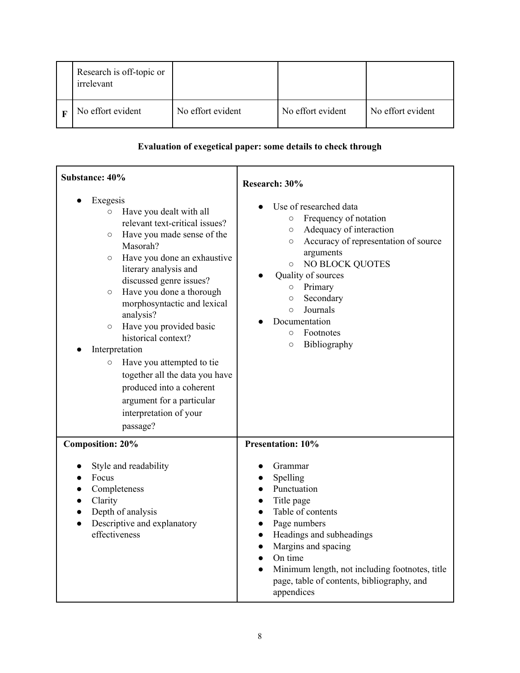| Research is off-topic or<br>irrelevant |                   |                   |                   |
|----------------------------------------|-------------------|-------------------|-------------------|
| No effort evident                      | No effort evident | No effort evident | No effort evident |

# **Evaluation of exegetical paper: some details to check through**

| Substance: 40%                                                                                                                                                                                                                                                                                                                                                                                                                                                                                                                                                                 | Research: 30%                                                                                                                                                                                                                                                                                                                                                        |  |
|--------------------------------------------------------------------------------------------------------------------------------------------------------------------------------------------------------------------------------------------------------------------------------------------------------------------------------------------------------------------------------------------------------------------------------------------------------------------------------------------------------------------------------------------------------------------------------|----------------------------------------------------------------------------------------------------------------------------------------------------------------------------------------------------------------------------------------------------------------------------------------------------------------------------------------------------------------------|--|
| Exegesis<br>Have you dealt with all<br>$\circ$<br>relevant text-critical issues?<br>Have you made sense of the<br>$\circ$<br>Masorah?<br>Have you done an exhaustive<br>$\circ$<br>literary analysis and<br>discussed genre issues?<br>Have you done a thorough<br>$\circ$<br>morphosyntactic and lexical<br>analysis?<br>Have you provided basic<br>$\circ$<br>historical context?<br>Interpretation<br>Have you attempted to tie<br>$\circ$<br>together all the data you have<br>produced into a coherent<br>argument for a particular<br>interpretation of your<br>passage? | Use of researched data<br>Frequency of notation<br>$\circ$<br>Adequacy of interaction<br>$\circ$<br>Accuracy of representation of source<br>$\circ$<br>arguments<br><b>NO BLOCK QUOTES</b><br>$\circ$<br>Quality of sources<br>Primary<br>$\circ$<br>Secondary<br>$\circ$<br>Journals<br>$\circ$<br>Documentation<br>Footnotes<br>$\circ$<br>Bibliography<br>$\circ$ |  |
| <b>Composition: 20%</b><br>Style and readability<br>Focus<br>Completeness<br>Clarity<br>Depth of analysis<br>$\bullet$<br>Descriptive and explanatory<br>$\bullet$<br>effectiveness                                                                                                                                                                                                                                                                                                                                                                                            | <b>Presentation: 10%</b><br>Grammar<br>Spelling<br>Punctuation<br>Title page<br>Table of contents<br>Page numbers<br>$\bullet$<br>Headings and subheadings<br>$\bullet$<br>Margins and spacing<br>$\bullet$<br>On time<br>$\bullet$<br>Minimum length, not including footnotes, title<br>page, table of contents, bibliography, and<br>appendices                    |  |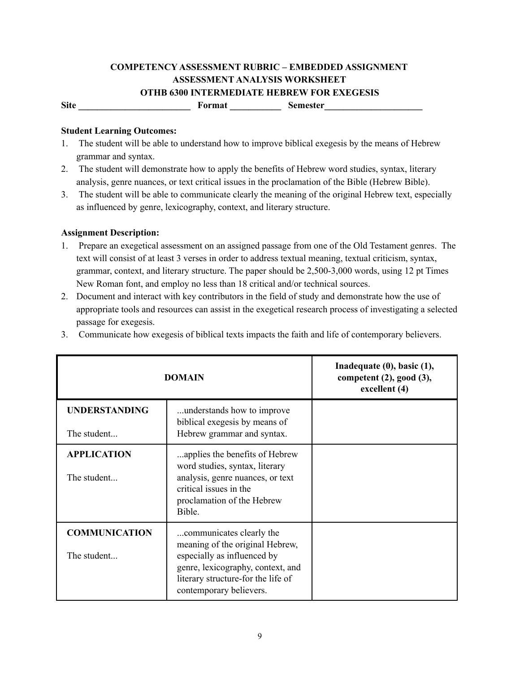# **COMPETENCY ASSESSMENT RUBRIC – EMBEDDED ASSIGNMENT ASSESSMENT ANALYSIS WORKSHEET OTHB 6300 INTERMEDIATE HEBREW FOR EXEGESIS**

Site **\_\_\_\_\_\_\_\_\_\_\_\_\_\_\_\_\_\_\_\_\_\_\_** Format **\_\_\_\_\_\_\_\_** Semester **\_\_\_\_\_\_\_** 

#### **Student Learning Outcomes:**

- 1. The student will be able to understand how to improve biblical exegesis by the means of Hebrew grammar and syntax.
- 2. The student will demonstrate how to apply the benefits of Hebrew word studies, syntax, literary analysis, genre nuances, or text critical issues in the proclamation of the Bible (Hebrew Bible).
- 3. The student will be able to communicate clearly the meaning of the original Hebrew text, especially as influenced by genre, lexicography, context, and literary structure.

#### **Assignment Description:**

- 1. Prepare an exegetical assessment on an assigned passage from one of the Old Testament genres. The text will consist of at least 3 verses in order to address textual meaning, textual criticism, syntax, grammar, context, and literary structure. The paper should be 2,500-3,000 words, using 12 pt Times New Roman font, and employ no less than 18 critical and/or technical sources.
- 2. Document and interact with key contributors in the field of study and demonstrate how the use of appropriate tools and resources can assist in the exegetical research process of investigating a selected passage for exegesis.
- 3. Communicate how exegesis of biblical texts impacts the faith and life of contemporary believers.

| <b>DOMAIN</b>        |                                                                                                                                   | Inadequate $(0)$ , basic $(1)$ ,<br>competent $(2)$ , good $(3)$ ,<br>excellent (4) |
|----------------------|-----------------------------------------------------------------------------------------------------------------------------------|-------------------------------------------------------------------------------------|
| <b>UNDERSTANDING</b> | understands how to improve<br>biblical exegesis by means of                                                                       |                                                                                     |
| The student          | Hebrew grammar and syntax.                                                                                                        |                                                                                     |
| <b>APPLICATION</b>   | applies the benefits of Hebrew<br>word studies, syntax, literary                                                                  |                                                                                     |
| The student          | analysis, genre nuances, or text<br>critical issues in the<br>proclamation of the Hebrew<br>Bible.                                |                                                                                     |
| <b>COMMUNICATION</b> | communicates clearly the<br>meaning of the original Hebrew,                                                                       |                                                                                     |
| The student          | especially as influenced by<br>genre, lexicography, context, and<br>literary structure-for the life of<br>contemporary believers. |                                                                                     |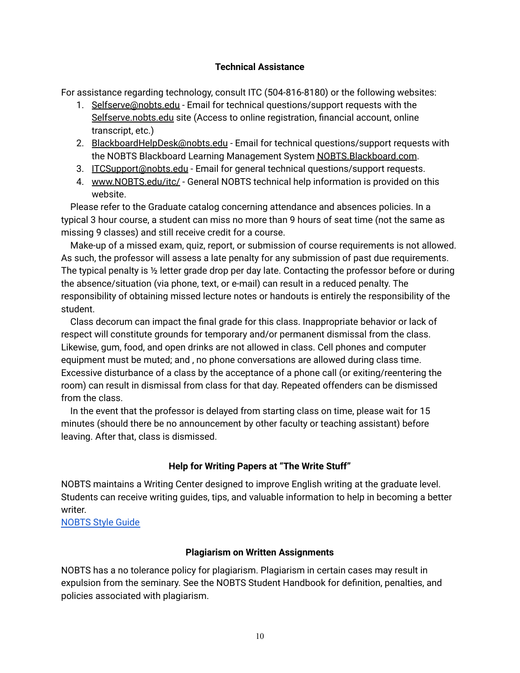#### **Technical Assistance**

For assistance regarding technology, consult ITC (504-816-8180) or the following websites:

- 1. Selfserve@nobts.edu Email for technical questions/support requests with the Selfserve.nobts.edu site (Access to online registration, financial account, online transcript, etc.)
- 2. BlackboardHelpDesk@nobts.edu Email for technical questions/support requests with the NOBTS Blackboard Learning Management System NOBTS.Blackboard.com.
- 3. ITCSupport@nobts.edu Email for general technical questions/support requests.
- 4. www.NOBTS.edu/itc/ General NOBTS technical help information is provided on this website.

Please refer to the Graduate catalog concerning attendance and absences policies. In a typical 3 hour course, a student can miss no more than 9 hours of seat time (not the same as missing 9 classes) and still receive credit for a course.

Make-up of a missed exam, quiz, report, or submission of course requirements is not allowed. As such, the professor will assess a late penalty for any submission of past due requirements. The typical penalty is ½ letter grade drop per day late. Contacting the professor before or during the absence/situation (via phone, text, or e-mail) can result in a reduced penalty. The responsibility of obtaining missed lecture notes or handouts is entirely the responsibility of the student.

Class decorum can impact the final grade for this class. Inappropriate behavior or lack of respect will constitute grounds for temporary and/or permanent dismissal from the class. Likewise, gum, food, and open drinks are not allowed in class. Cell phones and computer equipment must be muted; and , no phone conversations are allowed during class time. Excessive disturbance of a class by the acceptance of a phone call (or exiting/reentering the room) can result in dismissal from class for that day. Repeated offenders can be dismissed from the class.

In the event that the professor is delayed from starting class on time, please wait for 15 minutes (should there be no announcement by other faculty or teaching assistant) before leaving. After that, class is dismissed.

## **Help for Writing Papers at "The Write Stuff"**

NOBTS maintains a Writing Center designed to improve English writing at the graduate level. Students can receive writing guides, tips, and valuable information to help in becoming a better writer.

[NOBTS](https://www.nobts.edu/_resources/pdf/writing/StyleGuide.pdf) Style Guide

### **Plagiarism on Written Assignments**

NOBTS has a no tolerance policy for plagiarism. Plagiarism in certain cases may result in expulsion from the seminary. See the NOBTS Student Handbook for definition, penalties, and policies associated with plagiarism.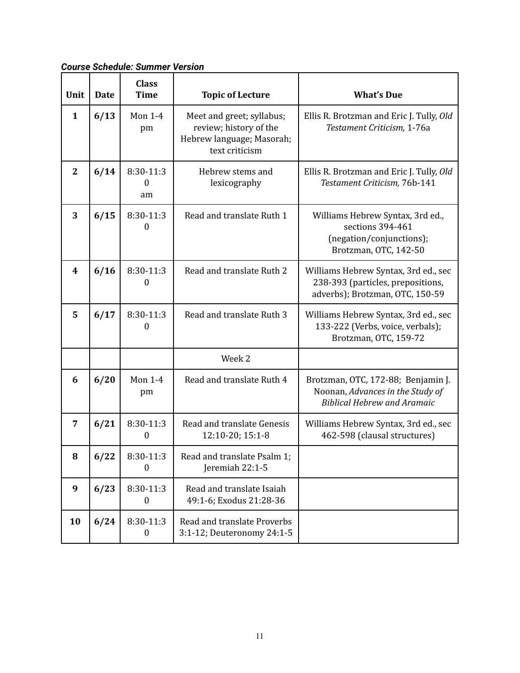*Course Schedule: Summer Version*

| Unit                    | <b>Date</b> | <b>Class</b><br><b>Time</b>   | <b>Topic of Lecture</b>                                                                            | <b>What's Due</b>                                                                                            |
|-------------------------|-------------|-------------------------------|----------------------------------------------------------------------------------------------------|--------------------------------------------------------------------------------------------------------------|
| $\mathbf{1}$            | 6/13        | <b>Mon 1-4</b><br>pm          | Meet and greet; syllabus;<br>review; history of the<br>Hebrew language; Masorah;<br>text criticism | Ellis R. Brotzman and Eric J. Tully, Old<br>Testament Criticism, 1-76a                                       |
| $\mathbf{2}$            | 6/14        | 8:30-11:3<br>0<br>am          | Hebrew stems and<br>lexicography                                                                   | Ellis R. Brotzman and Eric J. Tully, Old<br>Testament Criticism, 76b-141                                     |
| 3                       | 6/15        | 8:30-11:3<br>0                | Read and translate Ruth 1                                                                          | Williams Hebrew Syntax, 3rd ed.,<br>sections 394-461<br>(negation/conjunctions);<br>Brotzman, OTC, 142-50    |
| $\overline{\mathbf{4}}$ | 6/16        | 8:30-11:3<br>$\boldsymbol{0}$ | Read and translate Ruth 2                                                                          | Williams Hebrew Syntax, 3rd ed., sec<br>238-393 (particles, prepositions,<br>adverbs); Brotzman, OTC, 150-59 |
| 5                       | 6/17        | 8:30-11:3<br>0                | Read and translate Ruth 3                                                                          | Williams Hebrew Syntax, 3rd ed., sec<br>133-222 (Verbs, voice, verbals);<br>Brotzman, OTC, 159-72            |
|                         |             |                               | Week 2                                                                                             |                                                                                                              |
| 6                       | 6/20        | <b>Mon 1-4</b><br>pm          | Read and translate Ruth 4                                                                          | Brotzman, OTC, 172-88; Benjamin J.<br>Noonan, Advances in the Study of<br><b>Biblical Hebrew and Aramaic</b> |
| 7                       | 6/21        | 8:30-11:3<br>$\boldsymbol{0}$ | Read and translate Genesis<br>12:10-20; 15:1-8                                                     | Williams Hebrew Syntax, 3rd ed., sec<br>462-598 (clausal structures)                                         |
| 8                       | 6/22        | 8:30-11:3<br>0                | Read and translate Psalm 1;<br>Jeremiah 22:1-5                                                     |                                                                                                              |
| 9                       | 6/23        | 8:30-11:3<br>0                | Read and translate Isaiah<br>49:1-6; Exodus 21:28-36                                               |                                                                                                              |
| 10                      | 6/24        | 8:30-11:3<br>$\boldsymbol{0}$ | Read and translate Proverbs<br>3:1-12; Deuteronomy 24:1-5                                          |                                                                                                              |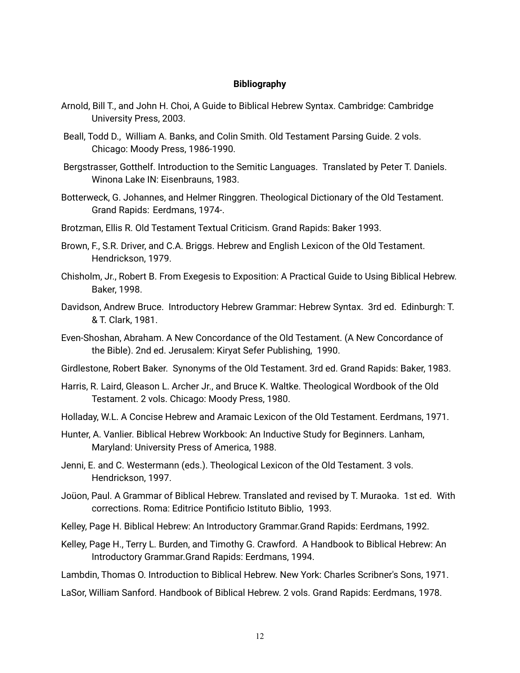#### **Bibliography**

- Arnold, Bill T., and John H. Choi, A Guide to Biblical Hebrew Syntax. Cambridge: Cambridge University Press, 2003.
- Beall, Todd D., William A. Banks, and Colin Smith. Old Testament Parsing Guide. 2 vols. Chicago: Moody Press, 1986‑1990.
- Bergstrasser, Gotthelf. Introduction to the Semitic Languages. Translated by Peter T. Daniels. Winona Lake IN: Eisenbrauns, 1983.
- Botterweck, G. Johannes, and Helmer Ringgren. Theological Dictionary of the Old Testament. Grand Rapids: Eerdmans, 1974‑.
- Brotzman, Ellis R. Old Testament Textual Criticism. Grand Rapids: Baker 1993.
- Brown, F., S.R. Driver, and C.A. Briggs. Hebrew and English Lexicon of the Old Testament. Hendrickson, 1979.
- Chisholm, Jr., Robert B. From Exegesis to Exposition: A Practical Guide to Using Biblical Hebrew. Baker, 1998.
- Davidson, Andrew Bruce. Introductory Hebrew Grammar: Hebrew Syntax. 3rd ed. Edinburgh: T. & T. Clark, 1981.
- Even‑Shoshan, Abraham. A New Concordance of the Old Testament. (A New Concordance of the Bible). 2nd ed. Jerusalem: Kiryat Sefer Publishing, 1990.
- Girdlestone, Robert Baker. Synonyms of the Old Testament. 3rd ed. Grand Rapids: Baker, 1983.
- Harris, R. Laird, Gleason L. Archer Jr., and Bruce K. Waltke. Theological Wordbook of the Old Testament. 2 vols. Chicago: Moody Press, 1980.
- Holladay, W.L. A Concise Hebrew and Aramaic Lexicon of the Old Testament. Eerdmans, 1971.
- Hunter, A. Vanlier. Biblical Hebrew Workbook: An Inductive Study for Beginners. Lanham, Maryland: University Press of America, 1988.
- Jenni, E. and C. Westermann (eds.). Theological Lexicon of the Old Testament. 3 vols. Hendrickson, 1997.
- Joüon, Paul. A Grammar of Biblical Hebrew. Translated and revised by T. Muraoka. 1st ed. With corrections. Roma: Editrice Pontificio Istituto Biblio, 1993.
- Kelley, Page H. Biblical Hebrew: An Introductory Grammar.Grand Rapids: Eerdmans, 1992.
- Kelley, Page H., Terry L. Burden, and Timothy G. Crawford. A Handbook to Biblical Hebrew: An Introductory Grammar.Grand Rapids: Eerdmans, 1994.

Lambdin, Thomas O. Introduction to Biblical Hebrew. New York: Charles Scribner's Sons, 1971.

LaSor, William Sanford. Handbook of Biblical Hebrew. 2 vols. Grand Rapids: Eerdmans, 1978.